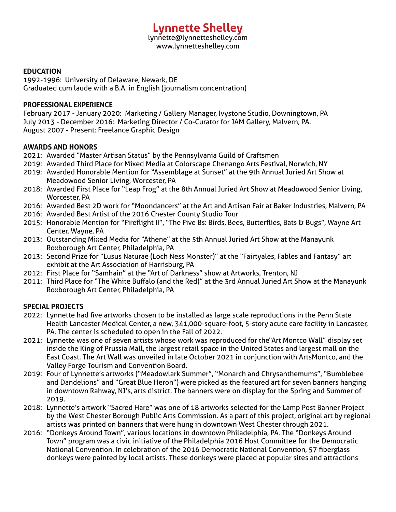# **Lynnette Shelley**

lynnette@lynnetteshelley.com www.lynnetteshelley.com

#### **EDUCATION**

1992-1996: University of Delaware, Newark, DE Graduated cum laude with a B.A. in English (journalism concentration)

#### **PROFESSIONAL EXPERIENCE**

February 2017 - January 2020: Marketing / Gallery Manager, Ivystone Studio, Downingtown, PA July 2013 - December 2016: Marketing Director / Co-Curator for JAM Gallery, Malvern, PA. August 2007 - Present: Freelance Graphic Design

#### **AWARDS AND HONORS**

- 2021: Awarded "Master Artisan Status" by the Pennsylvania Guild of Craftsmen
- 2019: Awarded Third Place for Mixed Media at Colorscape Chenango Arts Festival, Norwich, NY
- 2019: Awarded Honorable Mention for "Assemblage at Sunset" at the 9th Annual Juried Art Show at Meadowood Senior Living, Worcester, PA
- 2018: Awarded First Place for "Leap Frog" at the 8th Annual Juried Art Show at Meadowood Senior Living, Worcester, PA
- 2016: Awarded Best 2D work for "Moondancers" at the Art and Artisan Fair at Baker Industries, Malvern, PA
- 2016: Awarded Best Artist of the 2016 Chester County Studio Tour
- 2015: Honorable Mention for "Fireflight II", "The Five Bs: Birds, Bees, Butterflies, Bats & Bugs", Wayne Art Center, Wayne, PA
- 2013: Outstanding Mixed Media for "Athene" at the 5th Annual Juried Art Show at the Manayunk Roxborough Art Center, Philadelphia, PA
- 2013: Second Prize for "Lusus Naturae (Loch Ness Monster)" at the "Fairtyales, Fables and Fantasy" art exhibit at the Art Association of Harrisburg, PA
- 2012: First Place for "Samhain" at the "Art of Darkness" show at Artworks, Trenton, NJ
- 2011: Third Place for "The White Buffalo (and the Red)" at the 3rd Annual Juried Art Show at the Manayunk Roxborough Art Center, Philadelphia, PA

#### **SPECIAL PROJECTS**

- 2022: Lynnette had five artworks chosen to be installed as large scale reproductions in the Penn State Health Lancaster Medical Center, a new, 341,000-square-foot, 5-story acute care facility in Lancaster, PA. The center is scheduled to open in the Fall of 2022.
- 2021: Lynnette was one of seven artists whose work was reproduced for the"Art Montco Wall" display set inside the King of Prussia Mall, the largest retail space in the United States and largest mall on the East Coast. The Art Wall was unveiled in late October 2021 in conjunction with ArtsMontco, and the Valley Forge Tourism and Convention Board.
- 2019: Four of Lynnette's artworks ("Meadowlark Summer", "Monarch and Chrysanthemums", "Bumblebee and Dandelions" and "Great Blue Heron") were picked as the featured art for seven banners hanging in downtown Rahway, NJ's, arts district. The banners were on display for the Spring and Summer of 2019.
- 2018: Lynnette's artwork "Sacred Hare" was one of 18 artworks selected for the Lamp Post Banner Project by the West Chester Borough Public Arts Commission. As a part of this project, original art by regional artists was printed on banners that were hung in downtown West Chester through 2021.
- 2016: "Donkeys Around Town", various locations in downtown Philadelphia, PA. The "Donkeys Around Town" program was a civic initiative of the Philadelphia 2016 Host Committee for the Democratic National Convention. In celebration of the 2016 Democratic National Convention, 57 fiberglass donkeys were painted by local artists. These donkeys were placed at popular sites and attractions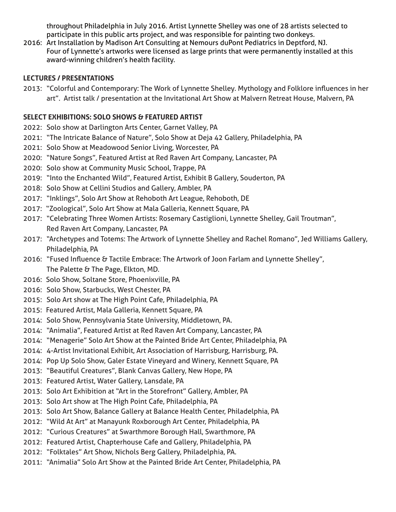throughout Philadelphia in July 2016. Artist Lynnette Shelley was one of 28 artists selected to participate in this public arts project, and was responsible for painting two donkeys.

2016: Art Installation by Madison Art Consulting at Nemours duPont Pediatrics in Deptford, NJ. Four of Lynnette's artworks were licensed as large prints that were permanently installed at this award-winning children's health facility.

## **LECTURES / PRESENTATIONS**

2013: "Colorful and Contemporary: The Work of Lynnette Shelley. Mythology and Folklore influences in her art". Artist talk / presentation at the Invitational Art Show at Malvern Retreat House, Malvern, PA

# **SELECT EXHIBITIONS: SOLO SHOWS & FEATURED ARTIST**

- 2022: Solo show at Darlington Arts Center, Garnet Valley, PA
- 2021: "The Intricate Balance of Nature", Solo Show at Deja 42 Gallery, Philadelphia, PA
- 2021: Solo Show at Meadowood Senior Living, Worcester, PA
- 2020: "Nature Songs", Featured Artist at Red Raven Art Company, Lancaster, PA
- 2020: Solo show at Community Music School, Trappe, PA
- 2019: "Into the Enchanted Wild", Featured Artist, Exhibit B Gallery, Souderton, PA
- 2018: Solo Show at Cellini Studios and Gallery, Ambler, PA
- 2017: "Inklings", Solo Art Show at Rehoboth Art League, Rehoboth, DE
- 2017: "Zoological", Solo Art Show at Mala Galleria, Kennett Square, PA
- 2017: "Celebrating Three Women Artists: Rosemary Castiglioni, Lynnette Shelley, Gail Troutman", Red Raven Art Company, Lancaster, PA
- 2017: "Archetypes and Totems: The Artwork of Lynnette Shelley and Rachel Romano", Jed Williams Gallery, Philadelphia, PA
- 2016: "Fused Influence & Tactile Embrace: The Artwork of Joon Farlam and Lynnette Shelley", The Palette & The Page, Elkton, MD.
- 2016: Solo Show, Soltane Store, Phoenixville, PA
- 2016: Solo Show, Starbucks, West Chester, PA
- 2015: Solo Art show at The High Point Cafe, Philadelphia, PA
- 2015: Featured Artist, Mala Galleria, Kennett Square, PA
- 2014: Solo Show, Pennsylvania State University, Middletown, PA.
- 2014: "Animalia", Featured Artist at Red Raven Art Company, Lancaster, PA
- 2014: "Menagerie" Solo Art Show at the Painted Bride Art Center, Philadelphia, PA
- 2014: 4-Artist Invitational Exhibit, Art Association of Harrisburg, Harrisburg, PA.
- 2014: Pop Up Solo Show, Galer Estate Vineyard and Winery, Kennett Square, PA
- 2013: "Beautiful Creatures", Blank Canvas Gallery, New Hope, PA
- 2013: Featured Artist, Water Gallery, Lansdale, PA
- 2013: Solo Art Exhibition at "Art in the Storefront" Gallery, Ambler, PA
- 2013: Solo Art show at The High Point Cafe, Philadelphia, PA
- 2013: Solo Art Show, Balance Gallery at Balance Health Center, Philadelphia, PA
- 2012: "Wild At Art" at Manayunk Roxborough Art Center, Philadelphia, PA
- 2012: "Curious Creatures" at Swarthmore Borough Hall, Swarthmore, PA
- 2012: Featured Artist, Chapterhouse Cafe and Gallery, Philadelphia, PA
- 2012: "Folktales" Art Show, Nichols Berg Gallery, Philadelphia, PA.
- 2011: "Animalia" Solo Art Show at the Painted Bride Art Center, Philadelphia, PA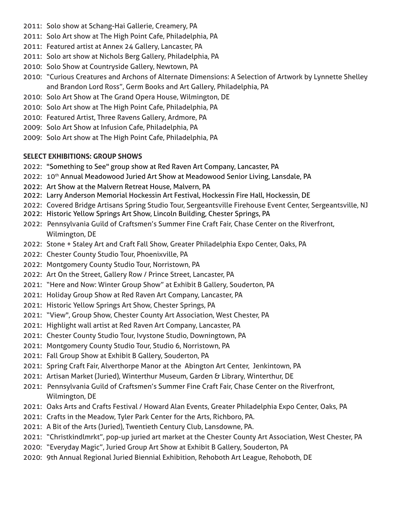- 2011: Solo show at Schang-Hai Gallerie, Creamery, PA
- 2011: Solo Art show at The High Point Cafe, Philadelphia, PA
- 2011: Featured artist at Annex 24 Gallery, Lancaster, PA
- 2011: Solo art show at Nichols Berg Gallery, Philadelphia, PA
- 2010: Solo Show at Countryside Gallery, Newtown, PA
- 2010: "Curious Creatures and Archons of Alternate Dimensions: A Selection of Artwork by Lynnette Shelley and Brandon Lord Ross", Germ Books and Art Gallery, Philadelphia, PA
- 2010: Solo Art Show at The Grand Opera House, Wilmington, DE
- 2010: Solo Art show at The High Point Cafe, Philadelphia, PA
- 2010: Featured Artist, Three Ravens Gallery, Ardmore, PA
- 2009: Solo Art Show at Infusion Cafe, Philadelphia, PA
- 2009: Solo Art show at The High Point Cafe, Philadelphia, PA

# **SELECT EXHIBITIONS: GROUP SHOWS**

- 2022: "Something to See" group show at Red Raven Art Company, Lancaster, PA
- 2022: 10<sup>th</sup> Annual Meadowood Juried Art Show at Meadowood Senior Living, Lansdale, PA
- 2022: Art Show at the Malvern Retreat House, Malvern, PA
- 2022: Larry Anderson Memorial Hockessin Art Festival, Hockessin Fire Hall, Hockessin, DE
- 2022: Covered Bridge Artisans Spring Studio Tour, Sergeantsville Firehouse Event Center, Sergeantsville, NJ
- 2022: Historic Yellow Springs Art Show, Lincoln Building, Chester Springs, PA
- 2022: Pennsylvania Guild of Craftsmen's Summer Fine Craft Fair, Chase Center on the Riverfront, Wilmington, DE
- 2022: Stone + Staley Art and Craft Fall Show, Greater Philadelphia Expo Center, Oaks, PA
- 2022: Chester County Studio Tour, Phoenixville, PA
- 2022: Montgomery County Studio Tour, Norristown, PA
- 2022: Art On the Street, Gallery Row / Prince Street, Lancaster, PA
- 2021: "Here and Now: Winter Group Show" at Exhibit B Gallery, Souderton, PA
- 2021: Holiday Group Show at Red Raven Art Company, Lancaster, PA
- 2021: Historic Yellow Springs Art Show, Chester Springs, PA
- 2021: "View", Group Show, Chester County Art Association, West Chester, PA
- 2021: Highlight wall artist at Red Raven Art Company, Lancaster, PA
- 2021: Chester County Studio Tour, Ivystone Studio, Downingtown, PA
- 2021: Montgomery County Studio Tour, Studio 6, Norristown, PA
- 2021: Fall Group Show at Exhibit B Gallery, Souderton, PA
- 2021: Spring Craft Fair, Alverthorpe Manor at the Abington Art Center, Jenkintown, PA
- 2021: Artisan Market (Juried), Winterthur Museum, Garden & Library, Winterthur, DE
- 2021: Pennsylvania Guild of Craftsmen's Summer Fine Craft Fair, Chase Center on the Riverfront, Wilmington, DE
- 2021: Oaks Arts and Crafts Festival / Howard Alan Events, Greater Philadelphia Expo Center, Oaks, PA
- 2021: Crafts in the Meadow, Tyler Park Center for the Arts, Richboro, PA.
- 2021: A Bit of the Arts (Juried), Twentieth Century Club, Lansdowne, PA.
- 2021: "Christkindlmrkt", pop-up juried art market at the Chester County Art Association, West Chester, PA
- 2020: "Everyday Magic", Juried Group Art Show at Exhibit B Gallery, Souderton, PA
- 2020: 9th Annual Regional Juried Biennial Exhibition, Rehoboth Art League, Rehoboth, DE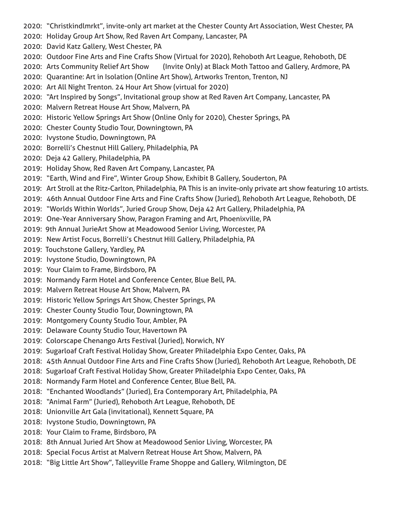- 2020: "Christkindlmrkt", invite-only art market at the Chester County Art Association, West Chester, PA
- 2020: Holiday Group Art Show, Red Raven Art Company, Lancaster, PA
- 2020: David Katz Gallery, West Chester, PA
- 2020: Outdoor Fine Arts and Fine Crafts Show (Virtual for 2020), Rehoboth Art League, Rehoboth, DE
- 2020: Arts Community Relief Art Show (Invite Only) at Black Moth Tattoo and Gallery, Ardmore, PA
- 2020: Quarantine: Art in Isolation (Online Art Show), Artworks Trenton, Trenton, NJ
- 2020: Art All Night Trenton. 24 Hour Art Show (virtual for 2020)
- 2020: "Art Inspired by Songs", Invitational group show at Red Raven Art Company, Lancaster, PA
- 2020: Malvern Retreat House Art Show, Malvern, PA
- 2020: Historic Yellow Springs Art Show (Online Only for 2020), Chester Springs, PA
- 2020: Chester County Studio Tour, Downingtown, PA
- 2020: Ivystone Studio, Downingtown, PA
- 2020: Borrelli's Chestnut Hill Gallery, Philadelphia, PA
- 2020: Deja 42 Gallery, Philadelphia, PA
- 2019: Holiday Show, Red Raven Art Company, Lancaster, PA
- 2019: "Earth, Wind and Fire", Winter Group Show, Exhibit B Gallery, Souderton, PA
- 2019: Art Stroll at the Ritz-Carlton, Philadelphia, PA This is an invite-only private art show featuring 10 artists.
- 2019: 46th Annual Outdoor Fine Arts and Fine Crafts Show (Juried), Rehoboth Art League, Rehoboth, DE
- 2019: "Worlds Within Worlds", Juried Group Show, Deja 42 Art Gallery, Philadelphia, PA
- 2019: One-Year Anniversary Show, Paragon Framing and Art, Phoenixville, PA
- 2019: 9th Annual JurieArt Show at Meadowood Senior Living, Worcester, PA
- 2019: New Artist Focus, Borrelli's Chestnut Hill Gallery, Philadelphia, PA
- 2019: Touchstone Gallery, Yardley, PA
- 2019: Ivystone Studio, Downingtown, PA
- 2019: Your Claim to Frame, Birdsboro, PA
- 2019: Normandy Farm Hotel and Conference Center, Blue Bell, PA.
- 2019: Malvern Retreat House Art Show, Malvern, PA
- 2019: Historic Yellow Springs Art Show, Chester Springs, PA
- 2019: Chester County Studio Tour, Downingtown, PA
- 2019: Montgomery County Studio Tour, Ambler, PA
- 2019: Delaware County Studio Tour, Havertown PA
- 2019: Colorscape Chenango Arts Festival (Juried), Norwich, NY
- 2019: Sugarloaf Craft Festival Holiday Show, Greater Philadelphia Expo Center, Oaks, PA
- 2018: 45th Annual Outdoor Fine Arts and Fine Crafts Show (Juried), Rehoboth Art League, Rehoboth, DE
- 2018: Sugarloaf Craft Festival Holiday Show, Greater Philadelphia Expo Center, Oaks, PA
- 2018: Normandy Farm Hotel and Conference Center, Blue Bell, PA.
- 2018: "Enchanted Woodlands" (Juried), Era Contemporary Art, Philadelphia, PA
- 2018: "Animal Farm" (Juried), Rehoboth Art League, Rehoboth, DE
- 2018: Unionville Art Gala (invitational), Kennett Square, PA
- 2018: Ivystone Studio, Downingtown, PA
- 2018: Your Claim to Frame, Birdsboro, PA
- 2018: 8th Annual Juried Art Show at Meadowood Senior Living, Worcester, PA
- 2018: Special Focus Artist at Malvern Retreat House Art Show, Malvern, PA
- 2018: "Big Little Art Show", Talleyville Frame Shoppe and Gallery, Wilmington, DE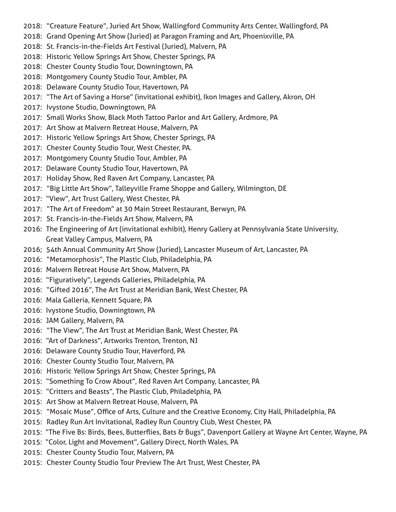- 2018: "Creature Feature", Juried Art Show, Wallingford Community Arts Center, Wallingford, PA
- 2018: Grand Opening Art Show (Juried) at Paragon Framing and Art, Phoenixville, PA
- 2018: St. Francis-in-the-Fields Art Festival (Juried), Malvern, PA
- 2018: Historic Yellow Springs Art Show, Chester Springs, PA
- 2018: Chester County Studio Tour, Downingtown, PA
- 2018: Montgomery County Studio Tour, Ambler, PA
- 2018: Delaware County Studio Tour, Havertown, PA
- 2017: "The Art of Saving a Horse" (invitational exhibit), Ikon Images and Gallery, Akron, OH
- 2017: Ivystone Studio, Downingtown, PA
- 2017: Small Works Show, Black Moth Tattoo Parlor and Art Gallery, Ardmore, PA
- 2017: Art Show at Malvern Retreat House, Malvern, PA
- 2017: Historic Yellow Springs Art Show, Chester Springs, PA
- 2017: Chester County Studio Tour, West Chester, PA.
- 2017: Montgomery County Studio Tour, Ambler, PA
- 2017: Delaware County Studio Tour, Havertown, PA
- 2017: Holiday Show, Red Raven Art Company, Lancaster, PA
- 2017: "Big Little Art Show", Talleyville Frame Shoppe and Gallery, Wilmington, DE
- 2017: "View", Art Trust Gallery, West Chester, PA
- 2017: "The Art of Freedom" at 30 Main Street Restaurant, Berwyn, PA
- 2017: St. Francis-in-the-Fields Art Show, Malvern, PA
- 2016: The Engineering of Art (invitational exhibit), Henry Gallery at Pennsylvania State University, Great Valley Campus, Malvern, PA
- 2016; 54th Annual Community Art Show (Juried), Lancaster Museum of Art, Lancaster, PA
- 2016: "Metamorphosis", The Plastic Club, Philadelphia, PA
- 2016: Malvern Retreat House Art Show, Malvern, PA
- 2016: "Figuratively", Legends Galleries, Philadelphia, PA
- 2016: "Gifted 2016", The Art Trust at Meridian Bank, West Chester, PA
- 2016: Mala Galleria, Kennett Square, PA
- 2016: Ivystone Studio, Downingtown, PA
- 2016: JAM Gallery, Malvern, PA
- 2016: "The View", The Art Trust at Meridian Bank, West Chester, PA
- 2016: "Art of Darkness", Artworks Trenton, Trenton, NJ
- 2016: Delaware County Studio Tour, Haverford, PA
- 2016: Chester County Studio Tour, Malvern, PA
- 2016: Historic Yellow Springs Art Show, Chester Springs, PA
- 2015: "Something To Crow About", Red Raven Art Company, Lancaster, PA
- 2015: "Critters and Beasts", The Plastic Club, Philadelphia, PA
- 2015: Art Show at Malvern Retreat House, Malvern, PA
- 2015: "Mosaic Muse", Office of Arts, Culture and the Creative Economy, City Hall, Philadelphia, PA
- 2015: Radley Run Art Invitational, Radley Run Country Club, West Chester, PA
- 2015: "The Five Bs: Birds, Bees, Butterflies, Bats & Bugs", Davenport Gallery at Wayne Art Center, Wayne, PA
- 2015: "Color, Light and Movement", Gallery Direct, North Wales, PA
- 2015: Chester County Studio Tour, Malvern, PA
- 2015: Chester County Studio Tour Preview The Art Trust, West Chester, PA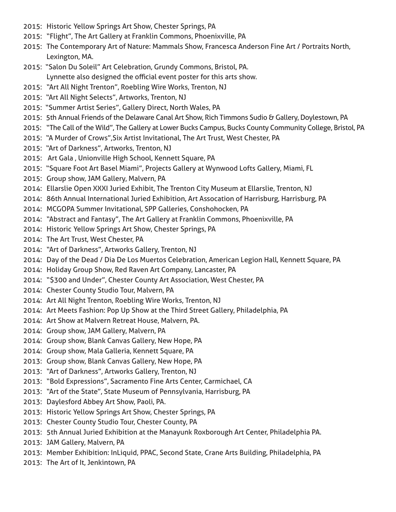- 2015: Historic Yellow Springs Art Show, Chester Springs, PA
- 2015: "Flight", The Art Gallery at Franklin Commons, Phoenixville, PA
- 2015: The Contemporary Art of Nature: Mammals Show, Francesca Anderson Fine Art / Portraits North, Lexington, MA.
- 2015: "Salon Du Soleil" Art Celebration, Grundy Commons, Bristol, PA. Lynnette also designed the official event poster for this arts show.
- 2015: "Art All Night Trenton", Roebling Wire Works, Trenton, NJ
- 2015: "Art All Night Selects", Artworks, Trenton, NJ
- 2015: "Summer Artist Series", Gallery Direct, North Wales, PA
- 2015: 5th Annual Friends of the Delaware Canal Art Show, Rich Timmons Sudio & Gallery, Doylestown, PA
- 2015: "The Call of the Wild", The Gallery at Lower Bucks Campus, Bucks County Community College, Bristol, PA
- 2015: "A Murder of Crows",Six Artist Invitational, The Art Trust, West Chester, PA
- 2015: "Art of Darkness", Artworks, Trenton, NJ
- 2015: Art Gala , Unionville High School, Kennett Square, PA
- 2015: "Square Foot Art Basel Miami", Projects Gallery at Wynwood Lofts Gallery, Miami, FL
- 2015: Group show, JAM Gallery, Malvern, PA
- 2014: Ellarslie Open XXXI Juried Exhibit, The Trenton City Museum at Ellarslie, Trenton, NJ
- 2014: 86th Annual International Juried Exhibition, Art Assocation of Harrisburg, Harrisburg, PA
- 2014: MCGOPA Summer Invitational, SPP Galleries, Conshohocken, PA
- 2014: "Abstract and Fantasy", The Art Gallery at Franklin Commons, Phoenixville, PA
- 2014: Historic Yellow Springs Art Show, Chester Springs, PA
- 2014: The Art Trust, West Chester, PA
- 2014: "Art of Darkness", Artworks Gallery, Trenton, NJ
- 2014: Day of the Dead / Dia De Los Muertos Celebration, American Legion Hall, Kennett Square, PA
- 2014: Holiday Group Show, Red Raven Art Company, Lancaster, PA
- 2014: "\$300 and Under", Chester County Art Association, West Chester, PA
- 2014: Chester County Studio Tour, Malvern, PA
- 2014: Art All Night Trenton, Roebling Wire Works, Trenton, NJ
- 2014: Art Meets Fashion: Pop Up Show at the Third Street Gallery, Philadelphia, PA
- 2014: Art Show at Malvern Retreat House, Malvern, PA.
- 2014: Group show, JAM Gallery, Malvern, PA
- 2014: Group show, Blank Canvas Gallery, New Hope, PA
- 2014: Group show, Mala Galleria, Kennett Square, PA
- 2013: Group show, Blank Canvas Gallery, New Hope, PA
- 2013: "Art of Darkness", Artworks Gallery, Trenton, NJ
- 2013: "Bold Expressions", Sacramento Fine Arts Center, Carmichael, CA
- 2013: "Art of the State", State Museum of Pennsylvania, Harrisburg, PA
- 2013: Daylesford Abbey Art Show, Paoli, PA.
- 2013: Historic Yellow Springs Art Show, Chester Springs, PA
- 2013: Chester County Studio Tour, Chester County, PA
- 2013: 5th Annual Juried Exhibition at the Manayunk Roxborough Art Center, Philadelphia PA.
- 2013: JAM Gallery, Malvern, PA
- 2013: Member Exhibition: InLiquid, PPAC, Second State, Crane Arts Building, Philadelphia, PA
- 2013: The Art of It, Jenkintown, PA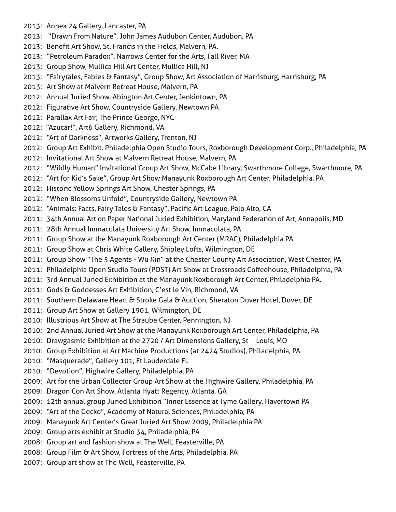- 2013: Annex 24 Gallery, Lancaster, PA
- 2013: "Drawn From Nature", John James Audubon Center, Audubon, PA
- 2013: Benefit Art Show, St. Francis in the Fields, Malvern, PA.
- 2013: "Petroleum Paradox", Narrows Center for the Arts, Fall River, MA
- 2013: Group Show, Mullica Hill Art Center, Mullica Hill, NJ
- 2013: "Fairytales, Fables & Fantasy", Group Show, Art Association of Harrisburg, Harrisburg, PA
- 2013: Art Show at Malvern Retreat House, Malvern, PA
- 2012: Annual Juried Show, Abington Art Center, Jenkintown, PA
- 2012: Figurative Art Show, Countryside Gallery, Newtown PA
- 2012: Parallax Art Fair, The Prince George, NYC
- 2012: "Azucar!", Art6 Gallery, Richmond, VA
- 2012: "Art of Darkness", Artworks Gallery, Trenton, NJ
- 2012: Group Art Exhibit. Philadelphia Open Studio Tours, Roxborough Development Corp., Philadelphia, PA
- 2012: Invitational Art Show at Malvern Retreat House, Malvern, PA
- 2012: "Wildly Human" Invitational Group Art Show, McCabe Library, Swarthmore College, Swarthmore, PA
- 2012: "Art for Kid's Sake", Group Art Show Manayunk Roxborough Art Center, Philadelphia, PA
- 2012: Historic Yellow Springs Art Show, Chester Springs, PA
- 2012: "When Blossoms Unfold", Countryside Gallery, Newtown PA
- 2012: "Animals: Facts, Fairy Tales & Fantasy", Pacific Art League, Palo Alto, CA
- 2011: 34th Annual Art on Paper National Juried Exhibition, Maryland Federation of Art, Annapolis, MD
- 2011: 28th Annual Immaculata University Art Show, Immaculata, PA
- 2011: Group Show at the Manayunk Roxborough Art Center (MRAC), Philadelphia PA
- 2011: Group Show at Chris White Gallery, Shipley Lofts, Wilmington, DE
- 2011: Group Show "The 5 Agents Wu Xin" at the Chester County Art Association, West Chester, PA
- 2011: Philadelphia Open Studio Tours (POST) Art Show at Crossroads Coffeehouse, Philadelphia, PA
- 2011: 3rd Annual Juried Exhibition at the Manayunk Roxborough Art Center, Philadelphia PA.
- 2011: Gods & Goddesses Art Exhibition, C'est le Vin, Richmond, VA
- 2011: Southern Delaware Heart & Stroke Gala & Auction, Sheraton Dover Hotel, Dover, DE
- 2011: Group Art Show at Gallery 1901, Wilmington, DE
- 2010: Illustrious Art Show at The Straube Center, Pennington, NJ
- 2010: 2nd Annual Juried Art Show at the Manayunk Roxborough Art Center, Philadelphia, PA
- 2010: Drawgasmic Exhibition at the 2720 / Art Dimensions Gallery, St Louis, MO
- 2010: Group Exhibition at Art Machine Productions (at 2424 Studios), Philadelphia, PA
- 2010: "Masquerade", Gallery 101, Ft Lauderdale FL
- 2010: "Devotion", Highwire Gallery, Philadelphia, PA
- 2009: Art for the Urban Collector Group Art Show at the Highwire Gallery, Philadelphia, PA
- 2009: Dragon Con Art Show, Atlanta Hyatt Regency, Atlanta, GA
- 2009: 12th annual group Juried Exhibition "Inner Essence at Tyme Gallery, Havertown PA
- 2009: "Art of the Gecko", Academy of Natural Sciences, Philadelphia, PA
- 2009: Manayunk Art Center's Great Juried Art Show 2009, Philadelphia PA
- 2009: Group arts exhibit at Studio 34, Philadelphia, PA
- 2008: Group art and fashion show at The Well, Feasterville, PA
- 2008: Group Film & Art Show, Fortress of the Arts, Philadelphia, PA
- 2007: Group art show at The Well, Feasterville, PA